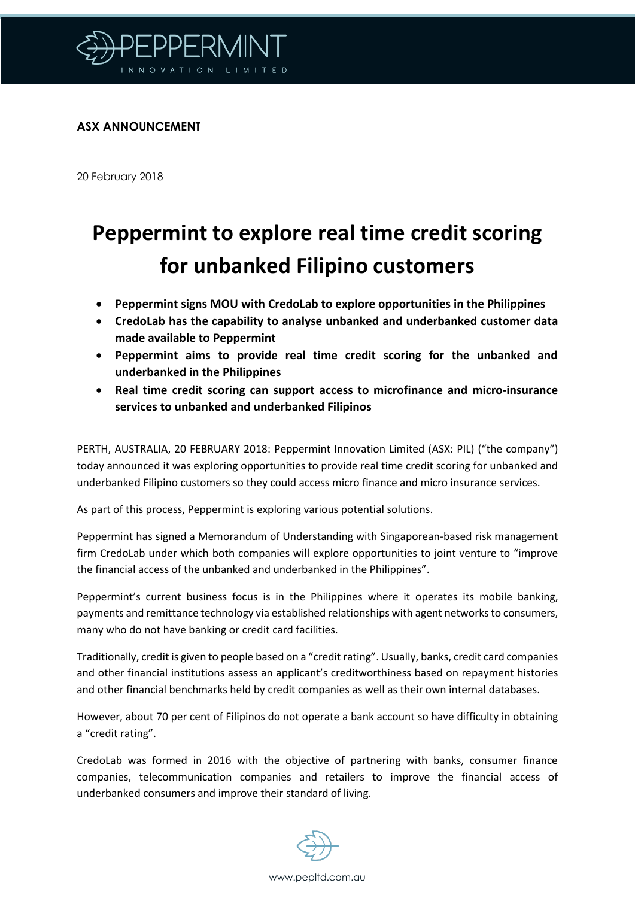

## **ASX ANNOUNCEMENT**

20 February 2018

## **Peppermint to explore real time credit scoring for unbanked Filipino customers**

- **Peppermint signs MOU with CredoLab to explore opportunities in the Philippines**
- **CredoLab has the capability to analyse unbanked and underbanked customer data made available to Peppermint**
- **Peppermint aims to provide real time credit scoring for the unbanked and underbanked in the Philippines**
- **Real time credit scoring can support access to microfinance and micro-insurance services to unbanked and underbanked Filipinos**

PERTH, AUSTRALIA, 20 FEBRUARY 2018: Peppermint Innovation Limited (ASX: PIL) ("the company") today announced it was exploring opportunities to provide real time credit scoring for unbanked and underbanked Filipino customers so they could access micro finance and micro insurance services.

As part of this process, Peppermint is exploring various potential solutions.

Peppermint has signed a Memorandum of Understanding with Singaporean-based risk management firm CredoLab under which both companies will explore opportunities to joint venture to "improve the financial access of the unbanked and underbanked in the Philippines".

Peppermint's current business focus is in the Philippines where it operates its mobile banking, payments and remittance technology via established relationships with agent networks to consumers, many who do not have banking or credit card facilities.

Traditionally, credit is given to people based on a "credit rating". Usually, banks, credit card companies and other financial institutions assess an applicant's creditworthiness based on repayment histories and other financial benchmarks held by credit companies as well as their own internal databases.

However, about 70 per cent of Filipinos do not operate a bank account so have difficulty in obtaining a "credit rating".

CredoLab was formed in 2016 with the objective of partnering with banks, consumer finance companies, telecommunication companies and retailers to improve the financial access of underbanked consumers and improve their standard of living.